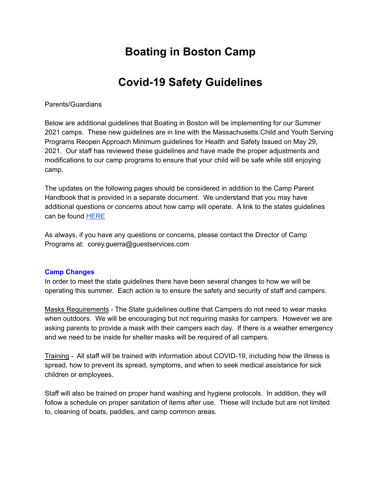# **Boating in Boston Camp**

# **Covid-19 Safety Guidelines**

#### Parents/Guardians

Below are additional guidelines that Boating in Boston will be implementing for our Summer 2021 camps. These new guidelines are in line with the Massachusetts Child and Youth Serving Programs Reopen Approach Minimum guidelines for Health and Safety Issued on May 29, 2021. Our staff has reviewed these guidelines and have made the proper adjustments and modifications to our camp programs to ensure that your child will be safe while still enjoying camp.

The updates on the following pages should be considered in addition to the Camp Parent Handbook that is provided in a separate document. We understand that you may have additional questions or concerns about how camp will operate. A link to the states guidelines can be found [HERE](https://www.mass.gov/doc/recreational-camps-and-programs-health-and-safety-standards-for-reopening/download)

As always, if you have any questions or concerns, please contact the Director of Camp Programs at: corey.guerra@guestservices.com

#### **Camp Changes**

In order to meet the state guidelines there have been several changes to how we will be operating this summer. Each action is to ensure the safety and security of staff and campers.

Masks Requirements - The State guidelines outline that Campers do not need to wear masks when outdoors. We will be encouraging but not requiring masks for campers. However we are asking parents to provide a mask with their campers each day. If there is a weather emergency and we need to be inside for shelter masks will be required of all campers.

Training - All staff will be trained with information about COVID-19, including how the illness is spread, how to prevent its spread, symptoms, and when to seek medical assistance for sick children or employees.

Staff will also be trained on proper hand washing and hygiene protocols. In addition, they will follow a schedule on proper sanitation of items after use. These will include but are not limited to, cleaning of boats, paddles, and camp common areas.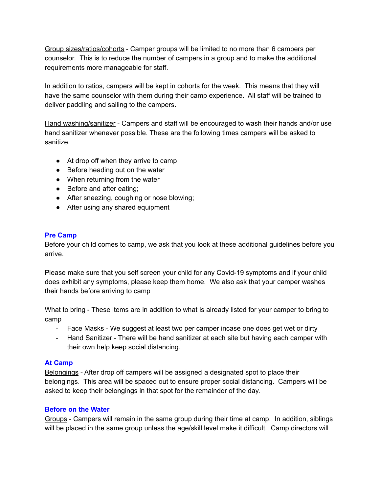Group sizes/ratios/cohorts - Camper groups will be limited to no more than 6 campers per counselor. This is to reduce the number of campers in a group and to make the additional requirements more manageable for staff.

In addition to ratios, campers will be kept in cohorts for the week. This means that they will have the same counselor with them during their camp experience. All staff will be trained to deliver paddling and sailing to the campers.

Hand washing/sanitizer - Campers and staff will be encouraged to wash their hands and/or use hand sanitizer whenever possible. These are the following times campers will be asked to sanitize.

- At drop off when they arrive to camp
- Before heading out on the water
- When returning from the water
- Before and after eating;
- After sneezing, coughing or nose blowing;
- After using any shared equipment

## **Pre Camp**

Before your child comes to camp, we ask that you look at these additional guidelines before you arrive.

Please make sure that you self screen your child for any Covid-19 symptoms and if your child does exhibit any symptoms, please keep them home. We also ask that your camper washes their hands before arriving to camp

What to bring - These items are in addition to what is already listed for your camper to bring to camp

- Face Masks We suggest at least two per camper incase one does get wet or dirty
- Hand Sanitizer There will be hand sanitizer at each site but having each camper with their own help keep social distancing.

# **At Camp**

Belongings - After drop off campers will be assigned a designated spot to place their belongings. This area will be spaced out to ensure proper social distancing. Campers will be asked to keep their belongings in that spot for the remainder of the day.

#### **Before on the Water**

Groups - Campers will remain in the same group during their time at camp. In addition, siblings will be placed in the same group unless the age/skill level make it difficult. Camp directors will